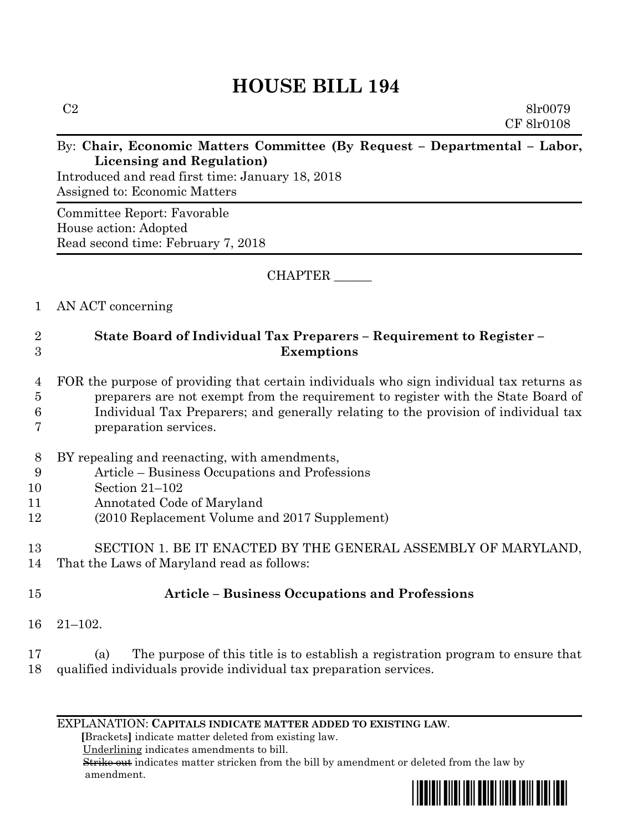# **HOUSE BILL 194**

CF 8lr0108

#### By: **Chair, Economic Matters Committee (By Request – Departmental – Labor, Licensing and Regulation)**

Introduced and read first time: January 18, 2018 Assigned to: Economic Matters

Committee Report: Favorable House action: Adopted Read second time: February 7, 2018

CHAPTER \_\_\_\_\_\_

# 1 AN ACT concerning

### 2 **State Board of Individual Tax Preparers – Requirement to Register –** 3 **Exemptions**

#### 4 FOR the purpose of providing that certain individuals who sign individual tax returns as 5 preparers are not exempt from the requirement to register with the State Board of 6 Individual Tax Preparers; and generally relating to the provision of individual tax 7 preparation services.

- 8 BY repealing and reenacting, with amendments,
- 9 Article Business Occupations and Professions
- 10 Section 21–102
- 11 Annotated Code of Maryland
- 12 (2010 Replacement Volume and 2017 Supplement)

13 SECTION 1. BE IT ENACTED BY THE GENERAL ASSEMBLY OF MARYLAND, 14 That the Laws of Maryland read as follows:

# 15 **Article – Business Occupations and Professions**

- 16 21–102.
- 17 (a) The purpose of this title is to establish a registration program to ensure that 18 qualified individuals provide individual tax preparation services.

EXPLANATION: **CAPITALS INDICATE MATTER ADDED TO EXISTING LAW**.

 **[**Brackets**]** indicate matter deleted from existing law.

Underlining indicates amendments to bill.

 Strike out indicates matter stricken from the bill by amendment or deleted from the law by amendment.